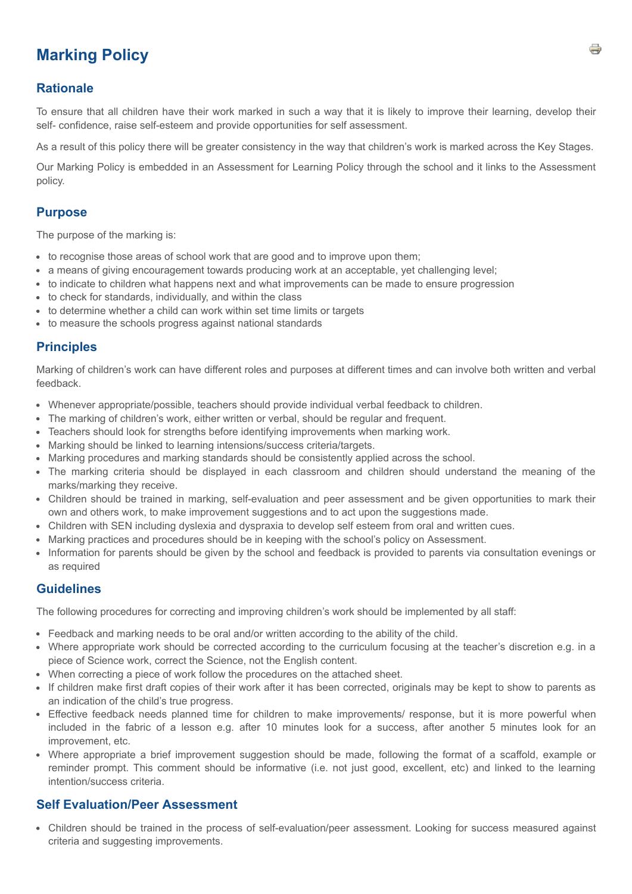# **Marking Policy**

### **Rationale**

To ensure that all children have their work marked in such a way that it is likely to improve their learning, develop their self- confidence, raise self-esteem and provide opportunities for self assessment.

As a result of this policy there will be greater consistency in the way that children's work is marked across the Key Stages.

Our Marking Policy is embedded in an Assessment for Learning Policy through the school and it links to the Assessment policy.

### **Purpose**

The purpose of the marking is:

- to recognise those areas of school work that are good and to improve upon them;
- a means of giving encouragement towards producing work at an acceptable, yet challenging level;
- to indicate to children what happens next and what improvements can be made to ensure progression
- to check for standards, individually, and within the class
- to determine whether a child can work within set time limits or targets
- to measure the schools progress against national standards

#### **Principles**

Marking of children's work can have different roles and purposes at different times and can involve both written and verbal feedback.

- Whenever appropriate/possible, teachers should provide individual verbal feedback to children.
- The marking of children's work, either written or verbal, should be regular and frequent.
- Teachers should look for strengths before identifying improvements when marking work.
- Marking should be linked to learning intensions/success criteria/targets.
- Marking procedures and marking standards should be consistently applied across the school.
- The marking criteria should be displayed in each classroom and children should understand the meaning of the marks/marking they receive.
- Children should be trained in marking, self-evaluation and peer assessment and be given opportunities to mark their own and others work, to make improvement suggestions and to act upon the suggestions made.
- Children with SEN including dyslexia and dyspraxia to develop self esteem from oral and written cues.
- Marking practices and procedures should be in keeping with the school's policy on Assessment.
- Information for parents should be given by the school and feedback is provided to parents via consultation evenings or as required

### **Guidelines**

The following procedures for correcting and improving children's work should be implemented by all staff:

- Feedback and marking needs to be oral and/or written according to the ability of the child.
- Where appropriate work should be corrected according to the curriculum focusing at the teacher's discretion e.g. in a piece of Science work, correct the Science, not the English content.
- When correcting a piece of work follow the procedures on the attached sheet.
- If children make first draft copies of their work after it has been corrected, originals may be kept to show to parents as an indication of the child's true progress.
- Effective feedback needs planned time for children to make improvements/ response, but it is more powerful when included in the fabric of a lesson e.g. after 10 minutes look for a success, after another 5 minutes look for an improvement, etc.
- Where appropriate a brief improvement suggestion should be made, following the format of a scaffold, example or reminder prompt. This comment should be informative (i.e. not just good, excellent, etc) and linked to the learning intention/success criteria.

### **Self Evaluation/Peer Assessment**

Children should be trained in the process of self-evaluation/peer assessment. Looking for success measured against criteria and suggesting improvements.